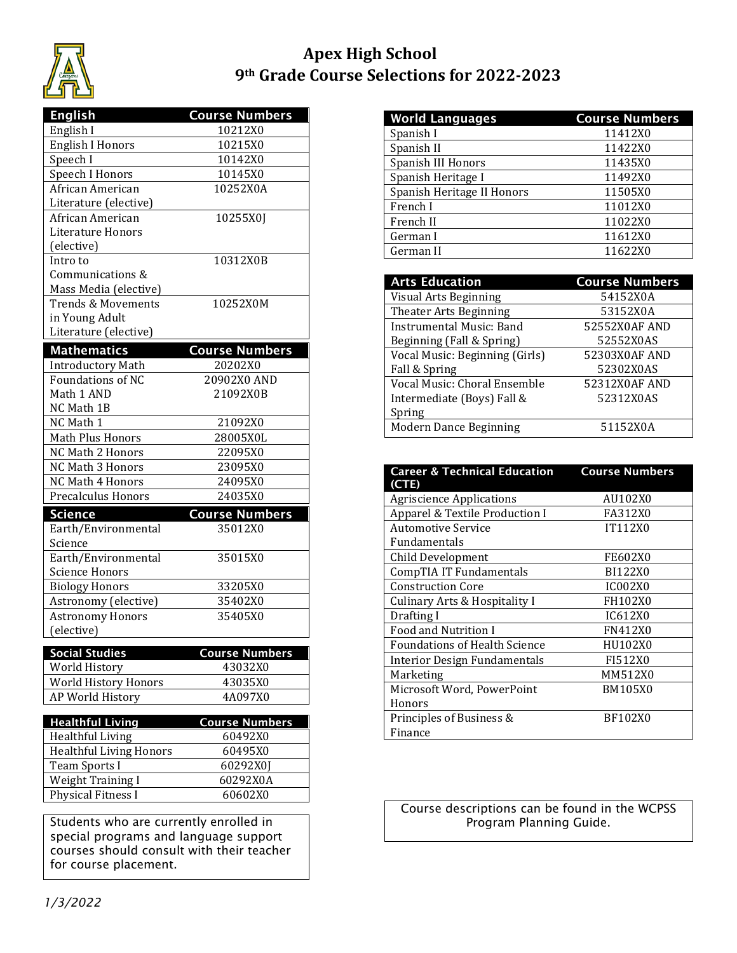

## **Apex High School 9th Grade Course Selections for 2022-2023**

| <b>English</b>                 | <b>Course Numbers</b> |
|--------------------------------|-----------------------|
| English I                      | 10212X0               |
| <b>English I Honors</b>        | 10215X0               |
| Speech I                       | 10142X0               |
| Speech I Honors                | 10145X0               |
| African American               | 10252X0A              |
| Literature (elective)          |                       |
| African American               | 10255X0J              |
| <b>Literature Honors</b>       |                       |
| (elective)                     |                       |
| Intro to                       | 10312X0B              |
| Communications &               |                       |
| Mass Media (elective)          |                       |
| <b>Trends &amp; Movements</b>  | 10252X0M              |
| in Young Adult                 |                       |
| Literature (elective)          |                       |
| <b>Mathematics</b>             | <b>Course Numbers</b> |
| <b>Introductory Math</b>       | 20202X0               |
| <b>Foundations of NC</b>       | 20902X0 AND           |
| Math 1 AND                     | 21092X0B              |
| NC Math 1B                     |                       |
| NC Math 1                      | 21092X0               |
| Math Plus Honors               | 28005X0L              |
| NC Math 2 Honors               | 22095X0               |
| NC Math 3 Honors               | 23095X0               |
| NC Math 4 Honors               | 24095X0               |
| Precalculus Honors             | 24035X0               |
| Science                        | <b>Course Numbers</b> |
| Earth/Environmental            | 35012X0               |
| Science                        |                       |
| Earth/Environmental            | 35015X0               |
| <b>Science Honors</b>          |                       |
| <b>Biology Honors</b>          | 33205X0               |
| Astronomy (elective)           | 35402X0               |
| <b>Astronomy Honors</b>        | 35405X0               |
| (elective)                     |                       |
| <b>Social Studies</b>          | <b>Course Numbers</b> |
| World History                  | 43032X0               |
| World History Honors           | 43035X0               |
| AP World History               | 4A097X0               |
|                                |                       |
| <b>Healthful Living</b>        | <b>Course Numbers</b> |
| <b>Healthful Living</b>        | 60492X0               |
| <b>Healthful Living Honors</b> | 60495X0               |
| Team Sports I                  | 60292X0J              |
| <b>Weight Training I</b>       | 60292X0A              |

Students who are currently enrolled in special programs and language support courses should consult with their teacher for course placement.

Physical Fitness I 60602X0

| <b>World Languages</b>     | <b>Course Numbers</b> |
|----------------------------|-----------------------|
| Spanish I                  | 11412X0               |
| Spanish II                 | 11422X0               |
| Spanish III Honors         | 11435X0               |
| Spanish Heritage I         | 11492X0               |
| Spanish Heritage II Honors | 11505X0               |
| French I                   | 11012X0               |
| French II                  | 11022X0               |
| German I                   | 11612X0               |
| German II                  | 11622X0               |

| <b>Arts Education</b>          | <b>Course Numbers</b> |
|--------------------------------|-----------------------|
| Visual Arts Beginning          | 54152X0A              |
| Theater Arts Beginning         | 53152X0A              |
| Instrumental Music: Band       | 52552X0AF AND         |
| Beginning (Fall & Spring)      | 52552X0AS             |
| Vocal Music: Beginning (Girls) | 52303X0AF AND         |
| Fall & Spring                  | 52302X0AS             |
| Vocal Music: Choral Ensemble   | 52312X0AF AND         |
| Intermediate (Boys) Fall &     | 52312X0AS             |
| Spring                         |                       |
| Modern Dance Beginning         | 51152X0A              |

| <b>Career &amp; Technical Education</b><br>(CTE) | <b>Course Numbers</b> |
|--------------------------------------------------|-----------------------|
| <b>Agriscience Applications</b>                  | AU102X0               |
| Apparel & Textile Production I                   | FA312X0               |
| <b>Automotive Service</b>                        | IT112X0               |
| Fundamentals                                     |                       |
| <b>Child Development</b>                         | FE602X0               |
| CompTIA IT Fundamentals                          | BI122X0               |
| <b>Construction Core</b>                         | <b>IC002X0</b>        |
| <b>Culinary Arts &amp; Hospitality I</b>         | FH102X0               |
| Drafting I                                       | IC612X0               |
| <b>Food and Nutrition I</b>                      | FN412X0               |
| <b>Foundations of Health Science</b>             | HU102X0               |
| <b>Interior Design Fundamentals</b>              | FI512X0               |
| Marketing                                        | MM512X0               |
| Microsoft Word, PowerPoint                       | <b>BM105X0</b>        |
| Honors                                           |                       |
| Principles of Business &                         | <b>BF102X0</b>        |
| Finance                                          |                       |

Course descriptions can be found in the WCPSS Program Planning Guide.